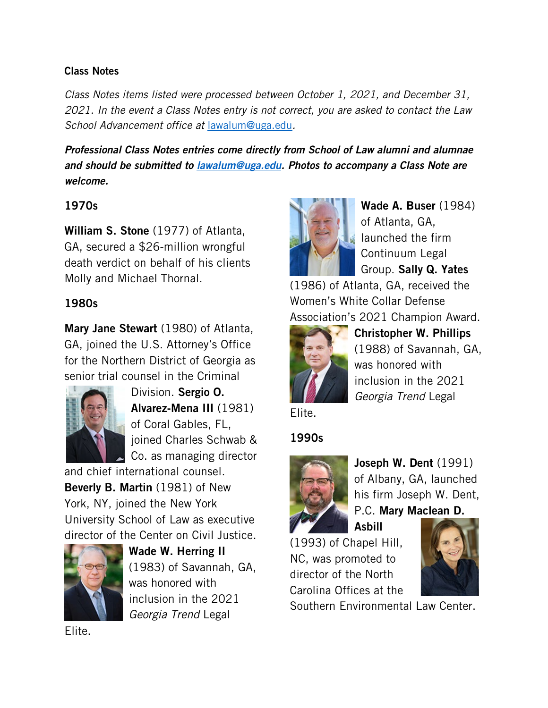#### Class Notes

*Class Notes items listed were processed between October 1, 2021, and December 31, 2021. In the event a Class Notes entry is not correct, you are asked to contact the Law School Advancement office at* [lawalum@uga.edu](mailto:lawalum@uga.edu)*.*

*Professional Class Notes entries come directly from School of Law alumni and alumnae and should be submitted to [lawalum@uga.edu.](mailto:lawalum@uga.edu) Photos to accompany a Class Note are welcome.*

#### 1970s

William S. Stone (1977) of Atlanta, GA, secured a \$26-million wrongful death verdict on behalf of his clients Molly and Michael Thornal.

## 1980s

Mary Jane Stewart (1980) of Atlanta, GA, joined the U.S. Attorney's Office for the Northern District of Georgia as senior trial counsel in the Criminal



Division. Sergio O. Alvarez-Mena III (1981) of Coral Gables, FL, joined Charles Schwab & Co. as managing director

and chief international counsel. Beverly B. Martin (1981) of New York, NY, joined the New York University School of Law as executive director of the Center on Civil Justice.



Wade W. Herring II (1983) of Savannah, GA, was honored with inclusion in the 2021 *Georgia Trend* Legal

Elite.



Wade A. Buser (1984) of Atlanta, GA, launched the firm Continuum Legal Group. Sally Q. Yates

(1986) of Atlanta, GA, received the Women's White Collar Defense Association's 2021 Champion Award.



Christopher W. Phillips (1988) of Savannah, GA, was honored with inclusion in the 2021 *Georgia Trend* Legal

## Elite.

## 1990s



Joseph W. Dent (1991) of Albany, GA, launched his firm Joseph W. Dent, P.C. Mary Maclean D.

Asbill

(1993) of Chapel Hill, NC, was promoted to director of the North Carolina Offices at the



Southern Environmental Law Center.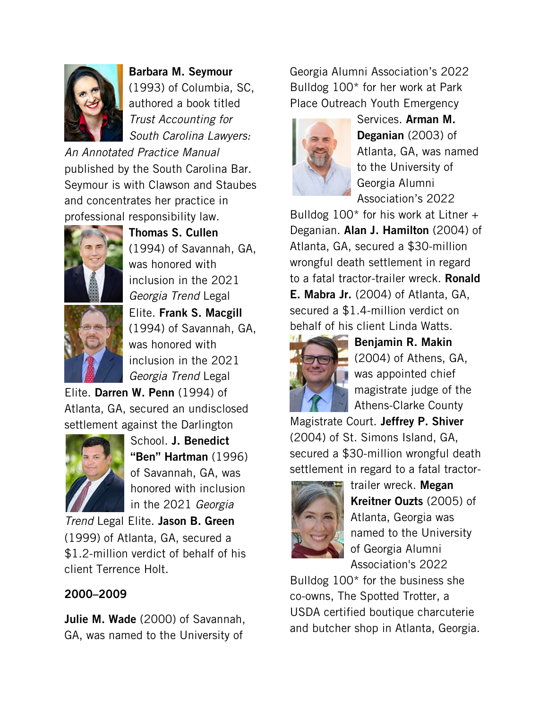

Barbara M. Seymour (1993) of Columbia, SC, authored a book titled *Trust Accounting for South Carolina Lawyers:* 

*An Annotated Practice Manual*  published by the South Carolina Bar. Seymour is with Clawson and Staubes and concentrates her practice in professional responsibility law.



Thomas S. Cullen (1994) of Savannah, GA, was honored with inclusion in the 2021 *Georgia Trend* Legal Elite. Frank S. Macgill (1994) of Savannah, GA, was honored with inclusion in the 2021 *Georgia Trend* Legal

Elite. Darren W. Penn (1994) of Atlanta, GA, secured an undisclosed settlement against the Darlington



School. J. Benedict "Ben" Hartman (1996) of Savannah, GA, was honored with inclusion in the 2021 *Georgia* 

*Trend* Legal Elite. Jason B. Green (1999) of Atlanta, GA, secured a \$1.2-million verdict of behalf of his client Terrence Holt.

## 2000–2009

Julie M. Wade (2000) of Savannah, GA, was named to the University of

Georgia Alumni Association's 2022 Bulldog 100\* for her work at Park Place Outreach Youth Emergency



Services. Arman M. Deganian (2003) of Atlanta, GA, was named to the University of Georgia Alumni Association's 2022

Bulldog  $100*$  for his work at Litner + Deganian. Alan J. Hamilton (2004) of Atlanta, GA, secured a \$30-million wrongful death settlement in regard to a fatal tractor-trailer wreck. **Ronald** E. Mabra Jr. (2004) of Atlanta, GA, secured a \$1.4-million verdict on behalf of his client Linda Watts.



Benjamin R. Makin (2004) of Athens, GA, was appointed chief magistrate judge of the Athens-Clarke County

Magistrate Court. Jeffrey P. Shiver (2004) of St. Simons Island, GA, secured a \$30-million wrongful death settlement in regard to a fatal tractor-



trailer wreck. Megan Kreitner Ouzts (2005) of Atlanta, Georgia was named to the University of Georgia Alumni Association's 2022

Bulldog 100\* for the business she co-owns, The Spotted Trotter, a USDA certified boutique charcuterie and butcher shop in Atlanta, Georgia.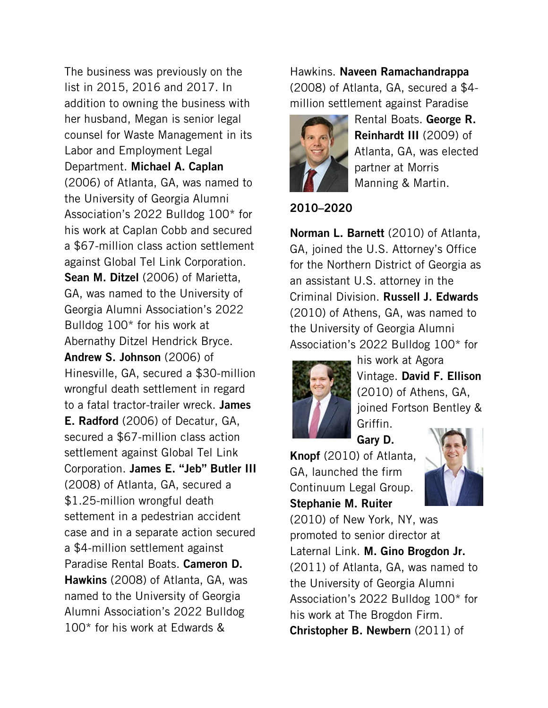The business was previously on the list in 2015, 2016 and 2017. In addition to owning the business with her husband, Megan is senior legal counsel for Waste Management in its Labor and Employment Legal Department. Michael A. Caplan (2006) of Atlanta, GA, was named to the University of Georgia Alumni Association's 2022 Bulldog 100\* for his work at Caplan Cobb and secured a \$67-million class action settlement against Global Tel Link Corporation. Sean M. Ditzel (2006) of Marietta, GA, was named to the University of Georgia Alumni Association's 2022 Bulldog 100\* for his work at Abernathy Ditzel Hendrick Bryce. Andrew S. Johnson (2006) of Hinesville, GA, secured a \$30-million wrongful death settlement in regard to a fatal tractor-trailer wreck. James E. Radford (2006) of Decatur, GA, secured a \$67-million class action settlement against Global Tel Link Corporation. James E. "Jeb" Butler III (2008) of Atlanta, GA, secured a \$1.25-million wrongful death settement in a pedestrian accident case and in a separate action secured a \$4-million settlement against Paradise Rental Boats. Cameron D. Hawkins (2008) of Atlanta, GA, was named to the University of Georgia Alumni Association's 2022 Bulldog 100\* for his work at Edwards &

Hawkins. Naveen Ramachandrappa (2008) of Atlanta, GA, secured a \$4 million settlement against Paradise



Rental Boats. George R. Reinhardt III (2009) of Atlanta, GA, was elected partner at Morris Manning & Martin.

2010–2020

Norman L. Barnett (2010) of Atlanta, GA, joined the U.S. Attorney's Office for the Northern District of Georgia as an assistant U.S. attorney in the Criminal Division. Russell J. Edwards (2010) of Athens, GA, was named to the University of Georgia Alumni Association's 2022 Bulldog 100\* for



his work at Agora Vintage. David F. Ellison (2010) of Athens, GA, joined Fortson Bentley & Griffin.

Gary D.

Knopf (2010) of Atlanta, GA, launched the firm Continuum Legal Group. Stephanie M. Ruiter



(2010) of New York, NY, was promoted to senior director at Laternal Link. M. Gino Brogdon Jr. (2011) of Atlanta, GA, was named to the University of Georgia Alumni Association's 2022 Bulldog 100\* for his work at The Brogdon Firm. Christopher B. Newbern (2011) of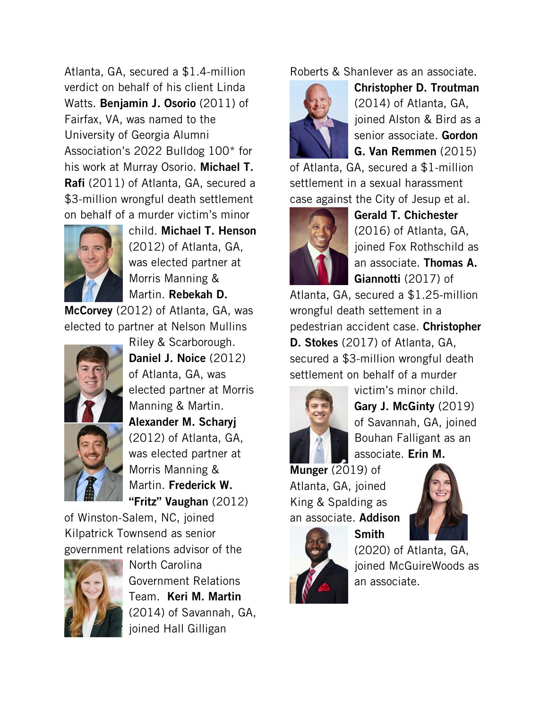Atlanta, GA, secured a \$1.4-million verdict on behalf of his client Linda Watts. Benjamin J. Osorio (2011) of Fairfax, VA, was named to the University of Georgia Alumni Association's 2022 Bulldog 100\* for his work at Murray Osorio. Michael T. Rafi (2011) of Atlanta, GA, secured a \$3-million wrongful death settlement on behalf of a murder victim's minor



child. Michael T. Henson (2012) of Atlanta, GA, was elected partner at Morris Manning & Martin. Rebekah D.

McCorvey (2012) of Atlanta, GA, was elected to partner at Nelson Mullins





Daniel J. Noice (2012) of Atlanta, GA, was elected partner at Morris Manning & Martin. Alexander M. Scharyj (2012) of Atlanta, GA, was elected partner at Morris Manning & Martin. Frederick W. "Fritz" Vaughan (2012)

Riley & Scarborough.

of Winston-Salem, NC, joined Kilpatrick Townsend as senior government relations advisor of the



North Carolina Government Relations Team. Keri M. Martin (2014) of Savannah, GA, joined Hall Gilligan

Roberts & Shanlever as an associate.



Christopher D. Troutman (2014) of Atlanta, GA, joined Alston & Bird as a senior associate. Gordon G. Van Remmen (2015)

of Atlanta, GA, secured a \$1-million settlement in a sexual harassment case against the City of Jesup et al.



Gerald T. Chichester (2016) of Atlanta, GA, joined Fox Rothschild as an associate. Thomas A. Giannotti (2017) of

Atlanta, GA, secured a \$1.25-million wrongful death settement in a pedestrian accident case. Christopher D. Stokes (2017) of Atlanta, GA, secured a \$3-million wrongful death settlement on behalf of a murder



victim's minor child. Gary J. McGinty (2019) of Savannah, GA, joined Bouhan Falligant as an associate. Erin M.

Munger (2019) of Atlanta, GA, joined King & Spalding as an associate. Addison

Smith





(2020) of Atlanta, GA, joined McGuireWoods as an associate.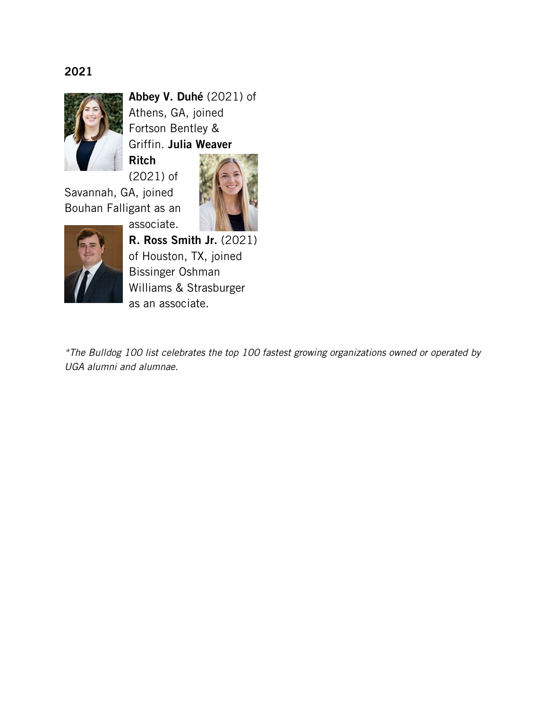## 2021



Abbey V. Duhé (2021) of Athens, GA, joined Fortson Bentley & Griffin. Julia Weaver Ritch

(2021) of Savannah, GA, joined Bouhan Falligant as an

associate.





R. Ross Smith Jr. (2021) of Houston, TX, joined Bissinger Oshman Williams & Strasburger as an associate.

*\*The Bulldog 100 list celebrates the top 100 fastest growing organizations owned or operated by UGA alumni and alumnae.*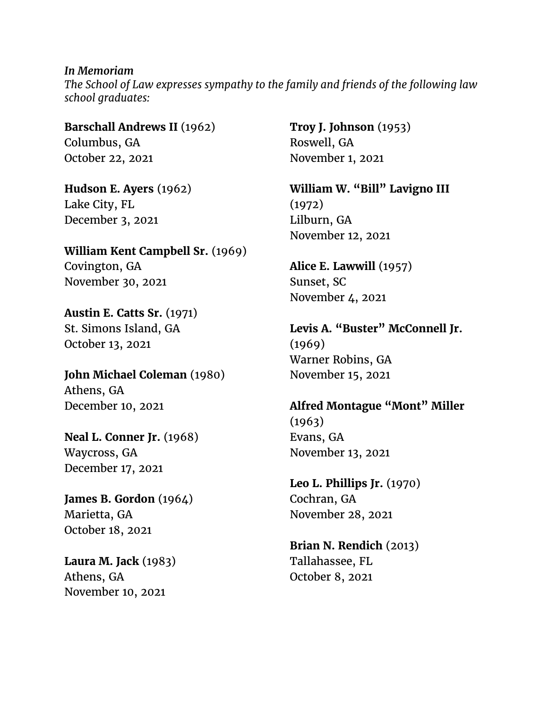*In Memoriam The School of Law expresses sympathy to the family and friends of the following law school graduates:*

**Barschall Andrews II** (1962) Columbus, GA October 22, 2021

**Hudson E. Ayers** (1962) Lake City, FL December 3, 2021

**William Kent Campbell Sr.** (1969) Covington, GA November 30, 2021

**Austin E. Catts Sr.** (1971) St. Simons Island, GA October 13, 2021

**John Michael Coleman** (1980) Athens, GA December 10, 2021

**Neal L. Conner Jr.** (1968) Waycross, GA December 17, 2021

**James B. Gordon** (1964) Marietta, GA October 18, 2021

**Laura M. Jack** (1983) Athens, GA November 10, 2021

**Troy J. Johnson** (1953) Roswell, GA November 1, 2021

**William W. "Bill" Lavigno III** (1972) Lilburn, GA November 12, 2021

**Alice E. Lawwill** (1957) Sunset, SC November 4, 2021

**Levis A. "Buster" McConnell Jr.** (1969) Warner Robins, GA November 15, 2021

**Alfred Montague "Mont" Miller** (1963) Evans, GA November 13, 2021

**Leo L. Phillips Jr.** (1970) Cochran, GA November 28, 2021

**Brian N. Rendich** (2013) Tallahassee, FL October 8, 2021